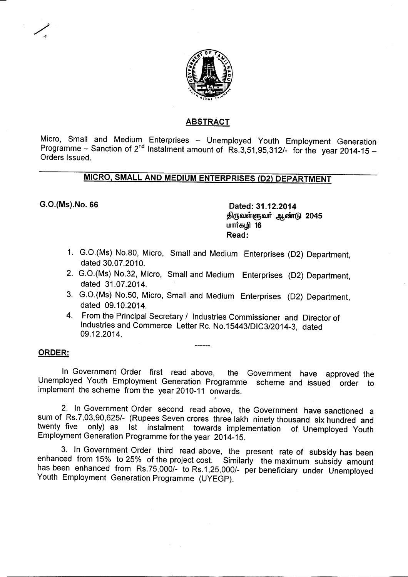

### **ABSTRACT**

Micro, Small and Medium Enterprises - Unemployed Youth Employment Generation Programme - Sanction of 2<sup>nd</sup> Instalment amount of Rs.3,51,95,312/- for the year 2014-15 -Orders Issued.

# **MICRO. SMALL AND MEDIUM ENTERPRISES (D2) DEPARTMENT**

G.O.(Ms).No. 66 **Dated: 31.12.2014 2045 16 Read:**

- 1. G.O.(Ms) No.80, Micro, Small and Medium Enterprises (D2) Department, dated 30.07.2010.
- 2. G.O.(Ms) No.32, Micro, Small and Medium Enterprises (D2) Department, dated 31.07.2014.
- 3. G.O.(Ms) No.50, Micro, Small and Medium Enterprises (D2) Department, dated 09.10.2014.
- 4. From the Principal Secretary / Industries Commissioner and Director of Industries and Commerce Letter Re. No. 15443/DIC3/2014-3, dated 09.12.2014.

#### **ORDER:**

In Government Order first read above, the Government have approved the Unemployed Youth Employment Generation Programme scheme and issued order to implement the scheme from the year 2010-11 onwards.

2. In Government Order second read above, the Government have sanctioned a sum of Rs.7,03,90,625/- (Rupees Seven crores three lakh ninety thousand six hundred and twenty five only) as 1st instalment towards implementation of Unemployed Youth Employment Generation Programme for the year 2014-15.

3. In Government Order third read above, the present rate of subsidy has been enhanced from 15% to 25% of the project cost. Similarly the maximum subsidy amount has been enhanced from Rs.75,000/- to Rs.1,25,000/- per beneficiary under Unemployed Youth Employment Generation Programme (UYEGP).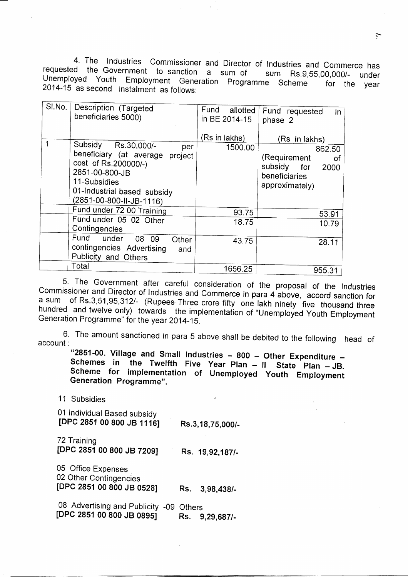4. The Industries Commissioner and Director of Industries and Commerce has requested the Government to sanction a sum of sum Rs.9,55,00,0007requested the Government to sanction a sum of sum Rs.9,55,00,000/- under<br>Unemployed Youth Employment Generation Programme Scheme for the year 2014-15 as second instalment as follows:

| $Sl$ No. $ $ |                                    |                  |                                 |
|--------------|------------------------------------|------------------|---------------------------------|
|              | Description (Targeted              | Fund<br>allotted | Fund requested<br>$\mathsf{in}$ |
|              | beneficiaries 5000)                | in BE 2014-15    | phase 2                         |
|              |                                    |                  |                                 |
|              |                                    | (Rs in lakhs)    | (Rs in lakhs)                   |
|              | Subsidy Rs.30,000/-<br>per         | 1500.00          | 862.50                          |
|              | beneficiary (at average<br>project |                  | (Requirement                    |
|              | cost of Rs.200000/-)               |                  | 0f                              |
|              | 2851-00-800-JB                     |                  | subsidy for<br>2000             |
|              | 11-Subsidies                       |                  | beneficiaries                   |
|              |                                    |                  | approximately)                  |
|              | 01-Industrial based subsidy        |                  |                                 |
|              | (2851-00-800-II-JB-1116)           |                  |                                 |
|              | Fund under 72 00 Training          | 93.75            | 53.91                           |
|              | Fund under 05 02 Other             | 18.75            | 10.79                           |
|              | Contingencies                      |                  |                                 |
|              | Fund under<br>08 09<br>Other       | 43.75            | 28.11                           |
|              | contingencies Advertising<br>and   |                  |                                 |
|              | Publicity and Others               |                  |                                 |
|              | Total                              | 1656.25          | 955.31                          |
|              |                                    |                  |                                 |

5. The Government after careful consideration of the proposal of the Industries Commissioner and Director of Industries and Commerce in para 4 above, accord sanction for a sum of Rs.3,51,95,312/- (Rupees Three crore fifty one lakh ninety five thousand three hundred and twelve only) towards the implementation of "Unemployed Youth Employment Generation Programme" for the year 2014-15.

The amount sanctioned in para 5 above shall be debited to the following  $\mu$ account :

"2851-00. Village and Small Industries - 800 - Other Expenditure -Schemes in the Twelfth Five Year Plan - Il State Plan - JB. **Scheme for implementation of Unemployed Youth Employment Generation Programme".**

11 Subsidies

01 Individual Based subsidy **[DPC2851 00800 JB 1116] Rs.3,18,75,0007-**

72 Training **[DPC 2851 00 800 JB 7209] Rs. 19,92,1877-**

05 Office Expenses 02 Other Contingencies **[DPC 2851 00 800 JB 0528] Rs. 3,98,4387-**

08 Advertising and Publicity -09 Others **[DPC 2851 00 800 JB 0895] Rs. 9,29,6877-**